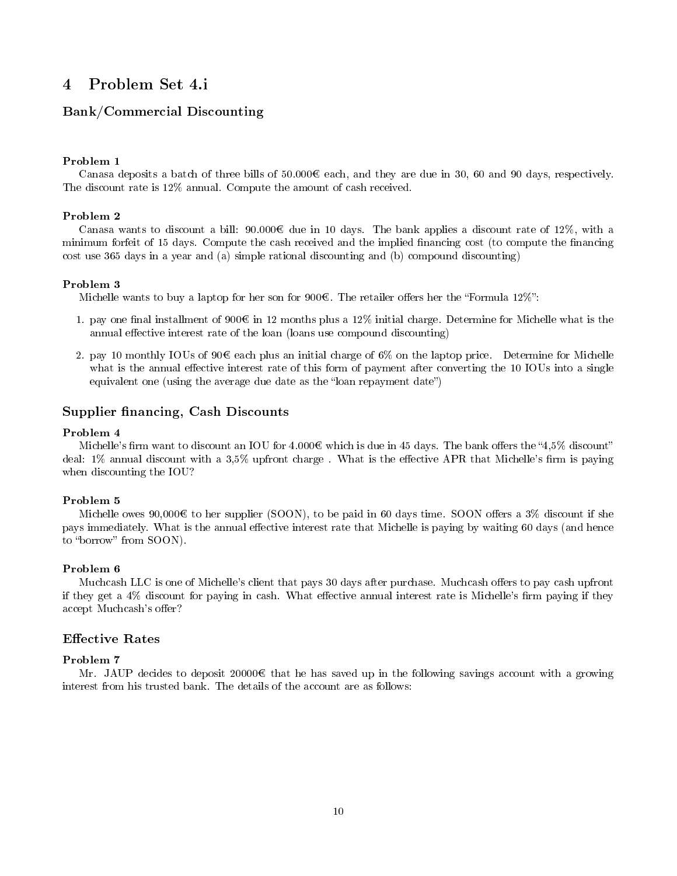# 4 Problem Set 4.i

## Bank/Commercial Discounting

### Problem 1

Canasa deposits a batch of three bills of  $50.000\mathcal{C}$  each, and they are due in 30, 60 and 90 days, respectively. The discount rate is 12% annual. Compute the amount of cash received.

#### Problem 2

Canasa wants to discount a bill:  $90.000\text{C}$  due in 10 days. The bank applies a discount rate of 12%, with a minimum forfeit of 15 days. Compute the cash received and the implied financing cost (to compute the financing cost use 365 days in a year and (a) simple rational discounting and (b) compound discounting)

#### Problem 3

Michelle wants to buy a laptop for her son for  $900<sup>€</sup>$ . The retailer offers her the "Formula  $12\%$ ":

- 1. pay one final installment of  $900\mathcal{C}$  in 12 months plus a 12% initial charge. Determine for Michelle what is the annual effective interest rate of the loan (loans use compound discounting)
- 2. pay 10 monthly IOUs of 90  $\epsilon$  each plus an initial charge of 6% on the laptop price. Determine for Michelle what is the annual effective interest rate of this form of payment after converting the 10 IOUs into a single equivalent one (using the average due date as the "loan repayment date")

## Supplier financing, Cash Discounts

## Problem 4

Michelle's firm want to discount an IOU for 4.000 which is due in 45 days. The bank offers the "4,5% discount" deal:  $1\%$  annual discount with a  $3.5\%$  upfront charge. What is the effective APR that Michelle's firm is paying when discounting the IOU?

## Problem 5

Michelle owes 90,000€ to her supplier (SOON), to be paid in 60 days time. SOON offers a  $3\%$  discount if she pays immediately. What is the annual effective interest rate that Michelle is paying by waiting 60 days (and hence to "borrow" from SOON).

#### Problem 6

Muchcash LLC is one of Michelle's client that pays 30 days after purchase. Muchcash offers to pay cash upfront if they get a 4% discount for paying in cash. What effective annual interest rate is Michelle's firm paying if they accept Muchcash's offer?

## **Effective Rates**

## Problem 7

Mr. JAUP decides to deposit 20000 $\epsilon$  that he has saved up in the following savings account with a growing interest from his trusted bank. The details of the account are as follows: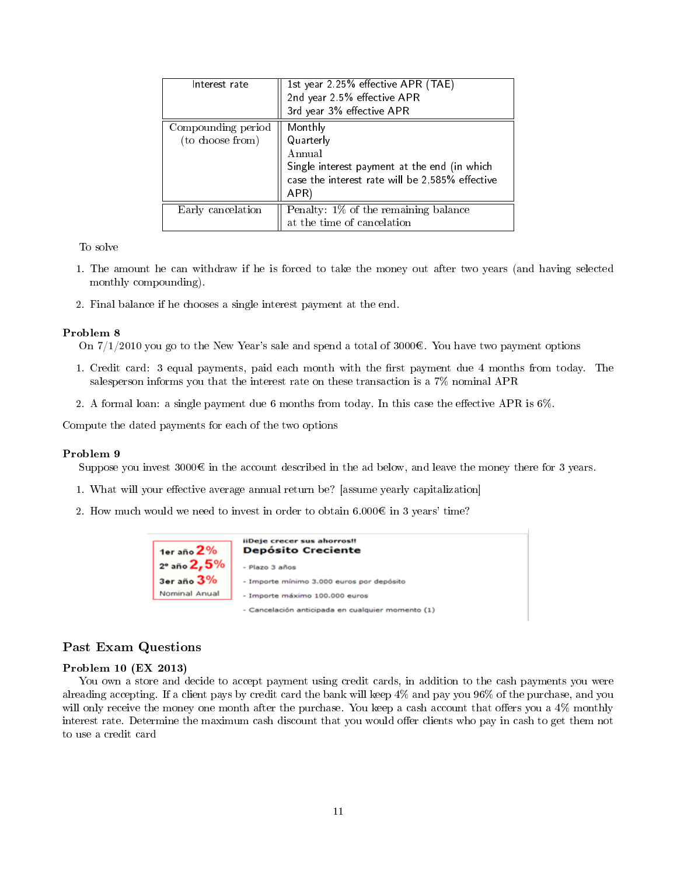| Interest rate                          | 1st year 2 25% effective APR (TAE)<br>2nd year 2.5% effective APR<br>3rd year 3% effective APR          |
|----------------------------------------|---------------------------------------------------------------------------------------------------------|
| Compounding period<br>(to choose from) | Monthly<br>Quarterly<br>Annual                                                                          |
|                                        | Single interest payment at the end (in which<br>case the interest rate will be 2,585% effective<br>APR) |
| Early cancelation                      | Penalty: 1% of the remaining balance<br>at the time of cancelation                                      |

To solve

- 1. The amount he can withdraw if he is forced to take the money out after two years (and having selected monthly compounding).
- 2. Final balance if he chooses a single interest payment at the end.

#### Problem 8

On  $7/1/2010$  you go to the New Year's sale and spend a total of 3000 $\epsilon$ . You have two payment options

- 1. Credit card: 3 equal payments, paid each month with the first payment due 4 months from today. The salesperson informs you that the interest rate on these transaction is a 7% nominal APR
- 2. A formal loan: a single payment due 6 months from today. In this case the effective APR is  $6\%$ .

Compute the dated payments for each of the two options

## Problem 9

Suppose you invest  $3000\mathcal{C}$  in the account described in the ad below, and leave the money there for 3 years.

- 1. What will your effective average annual return be? [assume yearly capitalization]
- 2. How much would we need to invest in order to obtain  $6.000\mathbf{C}$  in 3 years' time?

| 1er año $2%$  | liDeje crecer sus ahorros!!<br><b>Depósito Creciente</b> |
|---------------|----------------------------------------------------------|
| 2º año 2,5%   | - Plazo 3 años                                           |
| 3er año 3%    | - Importe mínimo 3.000 euros por depósito                |
| Nominal Anual | - Importe máximo 100.000 euros                           |
|               | - Cancelación anticipada en cualquier momento (1)        |

## Past Exam Questions

## Problem 10 (EX 2013)

You own a store and decide to accept payment using credit cards, in addition to the cash payments you were alreading accepting. If a client pays by credit card the bank will keep 4% and pay you 96% of the purchase, and you will only receive the money one month after the purchase. You keep a cash account that offers you a 4% monthly interest rate. Determine the maximum cash discount that you would offer clients who pay in cash to get them not to use a credit card